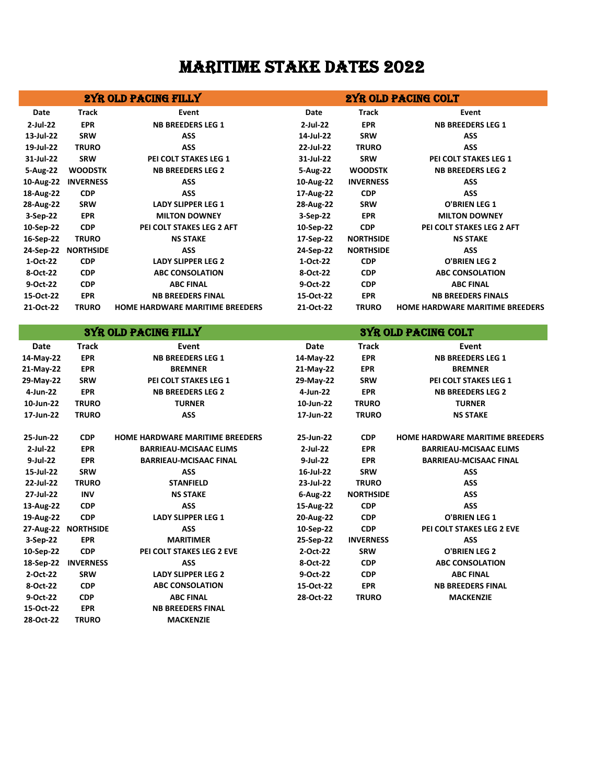## MARITIME STAKE DATES 2022

| 2YR OLD PACING FILLY |                     |                                        | 2YR OLD PACING COLT        |                  |                                        |  |  |
|----------------------|---------------------|----------------------------------------|----------------------------|------------------|----------------------------------------|--|--|
| Date                 | Track               | Event                                  | Date                       | <b>Track</b>     | Event                                  |  |  |
| 2-Jul-22             | <b>EPR</b>          | <b>NB BREEDERS LEG 1</b>               | 2-Jul-22                   | <b>EPR</b>       | <b>NB BREEDERS LEG 1</b>               |  |  |
| 13-Jul-22            | <b>SRW</b>          | ASS                                    | 14-Jul-22                  | <b>SRW</b>       | ASS                                    |  |  |
| 19-Jul-22            | <b>TRURO</b>        | <b>ASS</b>                             | 22-Jul-22                  | <b>TRURO</b>     | <b>ASS</b>                             |  |  |
| 31-Jul-22            | <b>SRW</b>          | PEI COLT STAKES LEG 1                  | 31-Jul-22                  | <b>SRW</b>       | PEI COLT STAKES LEG 1                  |  |  |
| 5-Aug-22             | <b>WOODSTK</b>      | <b>NB BREEDERS LEG 2</b>               | 5-Aug-22                   | <b>WOODSTK</b>   | <b>NB BREEDERS LEG 2</b>               |  |  |
| 10-Aug-22            | <b>INVERNESS</b>    | ASS                                    | 10-Aug-22                  | <b>INVERNESS</b> | ASS                                    |  |  |
| 18-Aug-22            | <b>CDP</b>          | <b>ASS</b>                             | 17-Aug-22                  | <b>CDP</b>       | <b>ASS</b>                             |  |  |
| 28-Aug-22            | <b>SRW</b>          | <b>LADY SLIPPER LEG 1</b>              | 28-Aug-22                  | <b>SRW</b>       | <b>O'BRIEN LEG 1</b>                   |  |  |
| 3-Sep-22             | <b>EPR</b>          | <b>MILTON DOWNEY</b>                   | 3-Sep-22                   | <b>EPR</b>       | <b>MILTON DOWNEY</b>                   |  |  |
| 10-Sep-22            | <b>CDP</b>          | PEI COLT STAKES LEG 2 AFT              | 10-Sep-22                  | <b>CDP</b>       | PEI COLT STAKES LEG 2 AFT              |  |  |
| 16-Sep-22            | <b>TRURO</b>        | <b>NS STAKE</b>                        | 17-Sep-22                  | <b>NORTHSIDE</b> | <b>NS STAKE</b>                        |  |  |
|                      | 24-Sep-22 NORTHSIDE | ASS                                    | 24-Sep-22                  | <b>NORTHSIDE</b> | ASS                                    |  |  |
| 1-Oct-22             | <b>CDP</b>          | <b>LADY SLIPPER LEG 2</b>              | 1-Oct-22                   | <b>CDP</b>       | <b>O'BRIEN LEG 2</b>                   |  |  |
| 8-Oct-22             | <b>CDP</b>          | <b>ABC CONSOLATION</b>                 | 8-Oct-22                   | <b>CDP</b>       | <b>ABC CONSOLATION</b>                 |  |  |
| 9-Oct-22             | <b>CDP</b>          | <b>ABC FINAL</b>                       | 9-Oct-22                   | <b>CDP</b>       | <b>ABC FINAL</b>                       |  |  |
| 15-Oct-22            | <b>EPR</b>          | <b>NB BREEDERS FINAL</b>               | 15-Oct-22                  | <b>EPR</b>       | <b>NB BREEDERS FINALS</b>              |  |  |
| 21-Oct-22            | <b>TRURO</b>        | <b>HOME HARDWARE MARITIME BREEDERS</b> | 21-Oct-22                  | <b>TRURO</b>     | <b>HOME HARDWARE MARITIME BREEDERS</b> |  |  |
|                      |                     |                                        |                            |                  |                                        |  |  |
|                      |                     | <b>SYR OLD PACING FILLY</b>            | <b>SYR OLD PACING COLT</b> |                  |                                        |  |  |
| Date                 | <b>Track</b>        | Event                                  | Date                       | <b>Track</b>     | Event                                  |  |  |
| 14-May-22            | <b>EPR</b>          | <b>NB BREEDERS LEG 1</b>               | 14-May-22                  | <b>EPR</b>       | <b>NB BREEDERS LEG 1</b>               |  |  |
| 21-May-22            | <b>EPR</b>          | <b>BREMNER</b>                         | 21-May-22                  | <b>EPR</b>       | <b>BREMNER</b>                         |  |  |
| 29-May-22            | <b>SRW</b>          | PEI COLT STAKES LEG 1                  | 29-May-22                  | <b>SRW</b>       | PEI COLT STAKES LEG 1                  |  |  |
| 4-Jun-22             | <b>EPR</b>          | <b>NB BREEDERS LEG 2</b>               | 4-Jun-22                   | <b>EPR</b>       | <b>NB BREEDERS LEG 2</b>               |  |  |
| 10-Jun-22            | <b>TRURO</b>        | <b>TURNER</b>                          | 10-Jun-22                  | <b>TRURO</b>     | <b>TURNER</b>                          |  |  |
| 17-Jun-22            | <b>TRURO</b>        | ASS                                    | 17-Jun-22                  | <b>TRURO</b>     | <b>NS STAKE</b>                        |  |  |
| 25-Jun-22            | <b>CDP</b>          | <b>HOME HARDWARE MARITIME BREEDERS</b> | 25-Jun-22                  | <b>CDP</b>       | <b>HOME HARDWARE MARITIME BREEDERS</b> |  |  |
| 2-Jul-22             | <b>EPR</b>          | <b>BARRIEAU-MCISAAC ELIMS</b>          | 2-Jul-22                   | <b>EPR</b>       | <b>BARRIEAU-MCISAAC ELIMS</b>          |  |  |
| 9-Jul-22             | <b>EPR</b>          | <b>BARRIEAU-MCISAAC FINAL</b>          | 9-Jul-22                   | <b>EPR</b>       | <b>BARRIEAU-MCISAAC FINAL</b>          |  |  |
| 15-Jul-22            | <b>SRW</b>          | ASS                                    | 16-Jul-22                  | <b>SRW</b>       | ASS                                    |  |  |
| 22-Jul-22            | <b>TRURO</b>        | <b>STANFIELD</b>                       | 23-Jul-22                  | <b>TRURO</b>     | ASS                                    |  |  |
| 27-Jul-22            | <b>INV</b>          | <b>NS STAKE</b>                        | 6-Aug-22                   | <b>NORTHSIDE</b> | ASS                                    |  |  |
| 13-Aug-22            | <b>CDP</b>          | ASS                                    | 15-Aug-22                  | <b>CDP</b>       | ASS                                    |  |  |
| 19-Aug-22            | <b>CDP</b>          | <b>LADY SLIPPER LEG 1</b>              | 20-Aug-22                  | <b>CDP</b>       | <b>O'BRIEN LEG 1</b>                   |  |  |
|                      | 27-Aug-22 NORTHSIDE | ASS                                    | 10-Sep-22                  | <b>CDP</b>       | PEI COLT STAKES LEG 2 EVE              |  |  |
| 3-Sep-22             | EPR                 | <b>MARITIMER</b>                       | 25-Sep-22                  | <b>INVERNESS</b> | ASS                                    |  |  |
| 10-Sep-22            | <b>CDP</b>          | PEI COLT STAKES LEG 2 EVE              | 2-Oct-22                   | <b>SRW</b>       | <b>O'BRIEN LEG 2</b>                   |  |  |
| 18-Sep-22            | <b>INVERNESS</b>    | ASS                                    | 8-Oct-22                   | <b>CDP</b>       | <b>ABC CONSOLATION</b>                 |  |  |
| 2-Oct-22             | <b>SRW</b>          | <b>LADY SLIPPER LEG 2</b>              | 9-Oct-22                   | <b>CDP</b>       | <b>ABC FINAL</b>                       |  |  |
| 8-Oct-22             | <b>CDP</b>          | <b>ABC CONSOLATION</b>                 | 15-Oct-22                  | <b>EPR</b>       | <b>NB BREEDERS FINAL</b>               |  |  |
| 9-Oct-22             | <b>CDP</b>          | <b>ABC FINAL</b>                       | 28-Oct-22                  | <b>TRURO</b>     | <b>MACKENZIE</b>                       |  |  |
| 15-Oct-22            | <b>EPR</b>          | <b>NB BREEDERS FINAL</b>               |                            |                  |                                        |  |  |
| 28-Oct-22            | <b>TRURO</b>        | <b>MACKENZIE</b>                       |                            |                  |                                        |  |  |